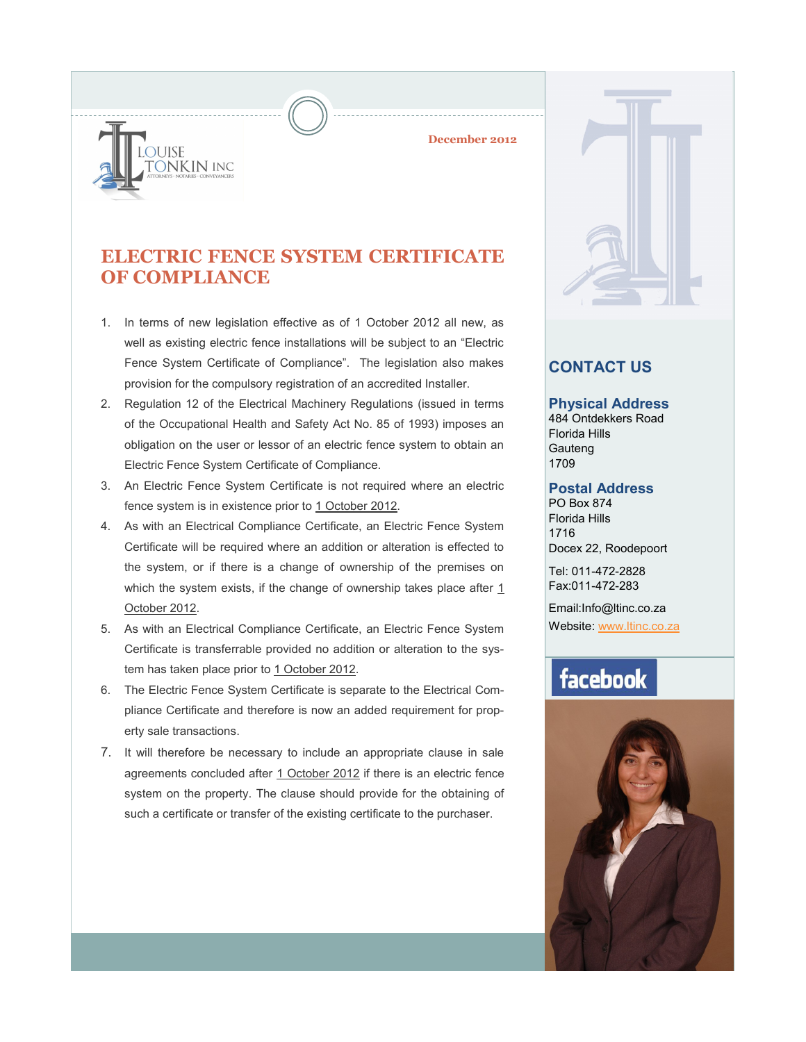**December 2012**

### **ELECTRIC FENCE SYSTEM CERTIFICATE OF COMPLIANCE**

**OUISE** 

ONKIN INC

- 1. In terms of new legislation effective as of 1 October 2012 all new, as well as existing electric fence installations will be subject to an "Electric Fence System Certificate of Compliance". The legislation also makes provision for the compulsory registration of an accredited Installer.
- 2. Regulation 12 of the Electrical Machinery Regulations (issued in terms of the Occupational Health and Safety Act No. 85 of 1993) imposes an obligation on the user or lessor of an electric fence system to obtain an Electric Fence System Certificate of Compliance.
- 3. An Electric Fence System Certificate is not required where an electric fence system is in existence prior to 1 October 2012.
- 4. As with an Electrical Compliance Certificate, an Electric Fence System Certificate will be required where an addition or alteration is effected to the system, or if there is a change of ownership of the premises on which the system exists, if the change of ownership takes place after 1 October 2012.
- 5. As with an Electrical Compliance Certificate, an Electric Fence System Certificate is transferrable provided no addition or alteration to the system has taken place prior to 1 October 2012.
- 6. The Electric Fence System Certificate is separate to the Electrical Compliance Certificate and therefore is now an added requirement for property sale transactions.
- 7. It will therefore be necessary to include an appropriate clause in sale agreements concluded after 1 October 2012 if there is an electric fence system on the property. The clause should provide for the obtaining of such a certificate or transfer of the existing certificate to the purchaser.



### **CONTACT US**

#### **Physical Address**

484 Ontdekkers Road Florida Hills **Gauteng** 1709

#### **Postal Address**

PO Box 874 Florida Hills 1716 Docex 22, Roodepoort

Tel: 011-472-2828 Fax:011-472-283

Email:Info@ltinc.co.za Website: [www.ltinc.co.za](http://www.btjs.co.za/)

## facebook